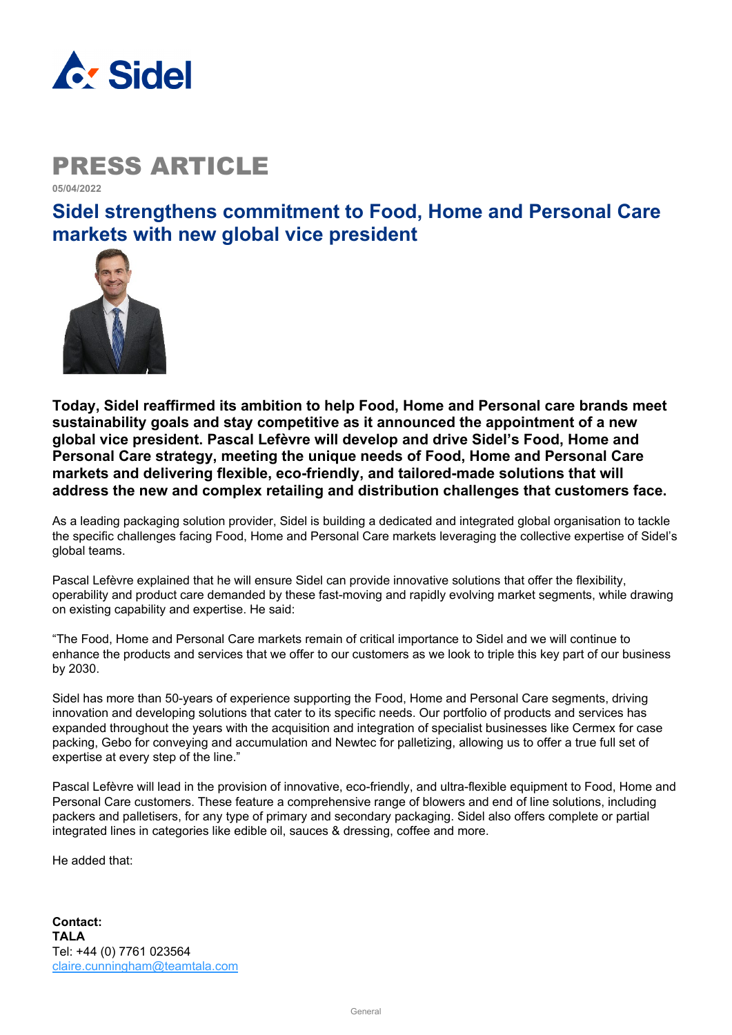

### PRESS ARTICLE

**05/04/2022** 

**Sidel strengthens commitment to Food, Home and Personal Care markets with new global vice president**



**Today, Sidel reaffirmed its ambition to help Food, Home and Personal care brands meet sustainability goals and stay competitive as it announced the appointment of a new global vice president. Pascal Lefèvre will develop and drive Sidel's Food, Home and Personal Care strategy, meeting the unique needs of Food, Home and Personal Care markets and delivering flexible, eco-friendly, and tailored-made solutions that will address the new and complex retailing and distribution challenges that customers face.**

As a leading packaging solution provider, Sidel is building a dedicated and integrated global organisation to tackle the specific challenges facing Food, Home and Personal Care markets leveraging the collective expertise of Sidel's global teams.

Pascal Lefèvre explained that he will ensure Sidel can provide innovative solutions that offer the flexibility, operability and product care demanded by these fast-moving and rapidly evolving market segments, while drawing on existing capability and expertise. He said:

"The Food, Home and Personal Care markets remain of critical importance to Sidel and we will continue to enhance the products and services that we offer to our customers as we look to triple this key part of our business by 2030.

Sidel has more than 50-years of experience supporting the Food, Home and Personal Care segments, driving innovation and developing solutions that cater to its specific needs. Our portfolio of products and services has expanded throughout the years with the acquisition and integration of specialist businesses like Cermex for case packing, Gebo for conveying and accumulation and Newtec for palletizing, allowing us to offer a true full set of expertise at every step of the line."

Pascal Lefèvre will lead in the provision of innovative, eco-friendly, and ultra-flexible equipment to Food, Home and Personal Care customers. These feature a comprehensive range of blowers and end of line solutions, including packers and palletisers, for any type of primary and secondary packaging. Sidel also offers complete or partial integrated lines in categories like edible oil, sauces & dressing, coffee and more.

He added that: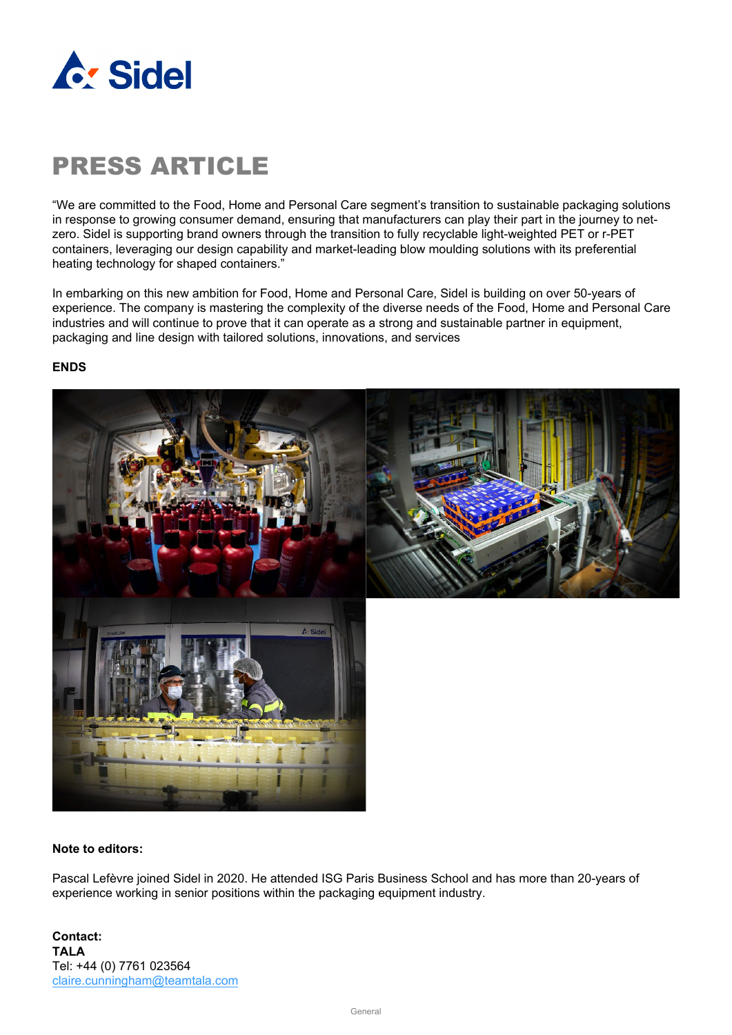

# PRESS ARTICLE

"We are committed to the Food, Home and Personal Care segment's transition to sustainable packaging solutions in response to growing consumer demand, ensuring that manufacturers can play their part in the journey to netzero. Sidel is supporting brand owners through the transition to fully recyclable light-weighted PET or r-PET containers, leveraging our design capability and market-leading blow moulding solutions with its preferential heating technology for shaped containers."

In embarking on this new ambition for Food, Home and Personal Care, Sidel is building on over 50-years of experience. The company is mastering the complexity of the diverse needs of the Food, Home and Personal Care industries and will continue to prove that it can operate as a strong and sustainable partner in equipment, packaging and line design with tailored solutions, innovations, and services

#### **ENDS**



#### **Note to editors:**

Pascal Lefèvre joined Sidel in 2020. He attended ISG Paris Business School and has more than 20-years of experience working in senior positions within the packaging equipment industry.